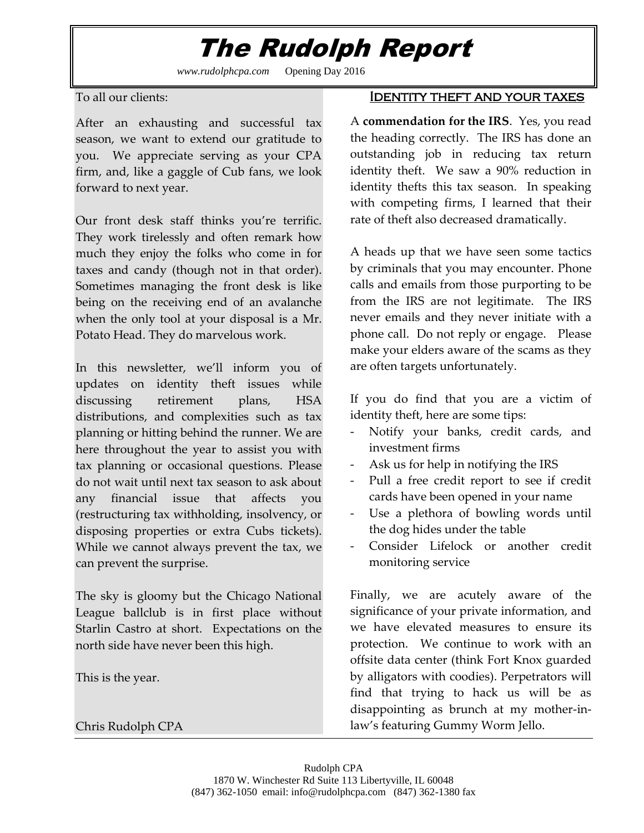# The Rudolph Report

*www.rudolphcpa.com* Opening Day 2016

To all our clients:

After an exhausting and successful tax season, we want to extend our gratitude to you. We appreciate serving as your CPA firm, and, like a gaggle of Cub fans, we look forward to next year.

Our front desk staff thinks you're terrific. They work tirelessly and often remark how much they enjoy the folks who come in for taxes and candy (though not in that order). Sometimes managing the front desk is like being on the receiving end of an avalanche when the only tool at your disposal is a Mr. Potato Head. They do marvelous work.

In this newsletter, we'll inform you of updates on identity theft issues while discussing retirement plans, HSA distributions, and complexities such as tax planning or hitting behind the runner. We are here throughout the year to assist you with tax planning or occasional questions. Please do not wait until next tax season to ask about any financial issue that affects you (restructuring tax withholding, insolvency, or disposing properties or extra Cubs tickets). While we cannot always prevent the tax, we can prevent the surprise.

The sky is gloomy but the Chicago National League ballclub is in first place without Starlin Castro at short. Expectations on the north side have never been this high.

This is the year.

Chris Rudolph CPA

### Identity theft and your taxes

A **commendation for the IRS**. Yes, you read the heading correctly. The IRS has done an outstanding job in reducing tax return identity theft. We saw a 90% reduction in identity thefts this tax season. In speaking with competing firms, I learned that their rate of theft also decreased dramatically.

A heads up that we have seen some tactics by criminals that you may encounter. Phone calls and emails from those purporting to be from the IRS are not legitimate. The IRS never emails and they never initiate with a phone call. Do not reply or engage. Please make your elders aware of the scams as they are often targets unfortunately.

If you do find that you are a victim of identity theft, here are some tips:

- Notify your banks, credit cards, and investment firms
- Ask us for help in notifying the IRS
- Pull a free credit report to see if credit cards have been opened in your name
- Use a plethora of bowling words until the dog hides under the table
- Consider Lifelock or another credit monitoring service

Finally, we are acutely aware of the significance of your private information, and we have elevated measures to ensure its protection. We continue to work with an offsite data center (think Fort Knox guarded by alligators with coodies). Perpetrators will find that trying to hack us will be as disappointing as brunch at my mother-inlaw's featuring Gummy Worm Jello.